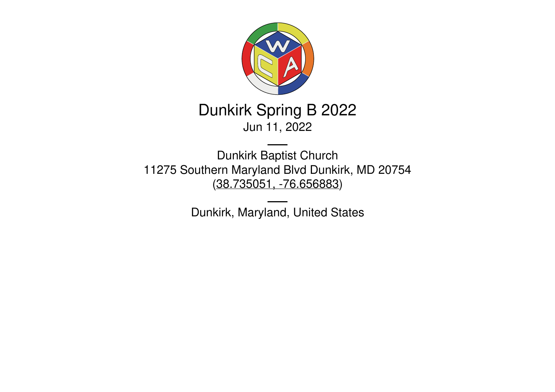

# Dunkirk Spring B 2022 Jun 11, 2022

Dunkirk Baptist Church 11275 Southern Maryland Blvd Dunkirk, MD 20754 (38.735051, [-76.656883](https://www.google.com/maps/place/38.735051,-76.656883))

Dunkirk, Maryland, United States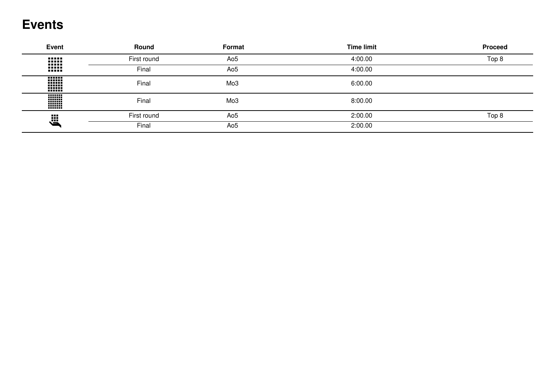## **Events**

| <b>Event</b>             | <b>Round</b>       | Format          | <b>Time limit</b> | <b>Proceed</b> |
|--------------------------|--------------------|-----------------|-------------------|----------------|
| <br><br>                 | First round        | Ao <sub>5</sub> | 4:00.00           | Top 8          |
| <br>                     | Final              | Ao <sub>5</sub> | 4:00.00           |                |
| -888<br><br>mm<br>------ | Final              | Mo <sub>3</sub> | 6:00.00           |                |
| W<br>,,,,,,,,            | Final              | Mo <sub>3</sub> | 8:00.00           |                |
| Ë                        | First round<br>Ao5 | 2:00.00         | Top 8             |                |
|                          | Final              | Ao <sub>5</sub> | 2:00.00           |                |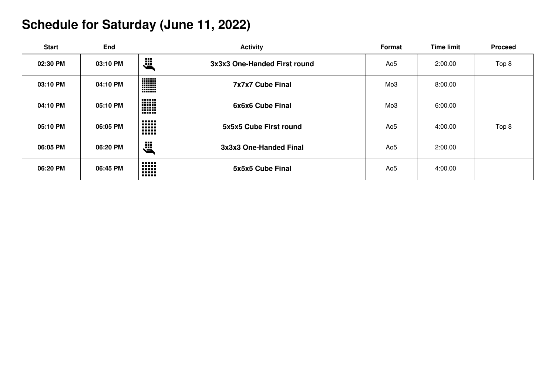# **Schedule for Saturday (June 11, 2022)**

| <b>Start</b> | End      | <b>Activity</b>                                     | Format          | <b>Time limit</b> | <b>Proceed</b> |
|--------------|----------|-----------------------------------------------------|-----------------|-------------------|----------------|
| 02:30 PM     | 03:10 PM | 巡<br>3x3x3 One-Handed First round                   | Ao5             | 2:00.00           | Top 8          |
| 03:10 PM     | 04:10 PM | <b>WWW</b><br>7x7x7 Cube Final<br><b>HHH</b>        | Mo <sub>3</sub> | 8:00.00           |                |
| 04:10 PM     | 05:10 PM | <br>mm<br>6x6x6 Cube Final<br>mm<br>mm              | Mo3             | 6:00.00           |                |
| 05:10 PM     | 06:05 PM | <br><br>5x5x5 Cube First round<br><br>-----<br>     | Ao5             | 4:00.00           | Top 8          |
| 06:05 PM     | 06:20 PM | 、<br>3x3x3 One-Handed Final                         | Ao5             | 2:00.00           |                |
| 06:20 PM     | 06:45 PM | -----<br>-----<br>5x5x5 Cube Final<br><br><br>----- | Ao <sub>5</sub> | 4:00.00           |                |